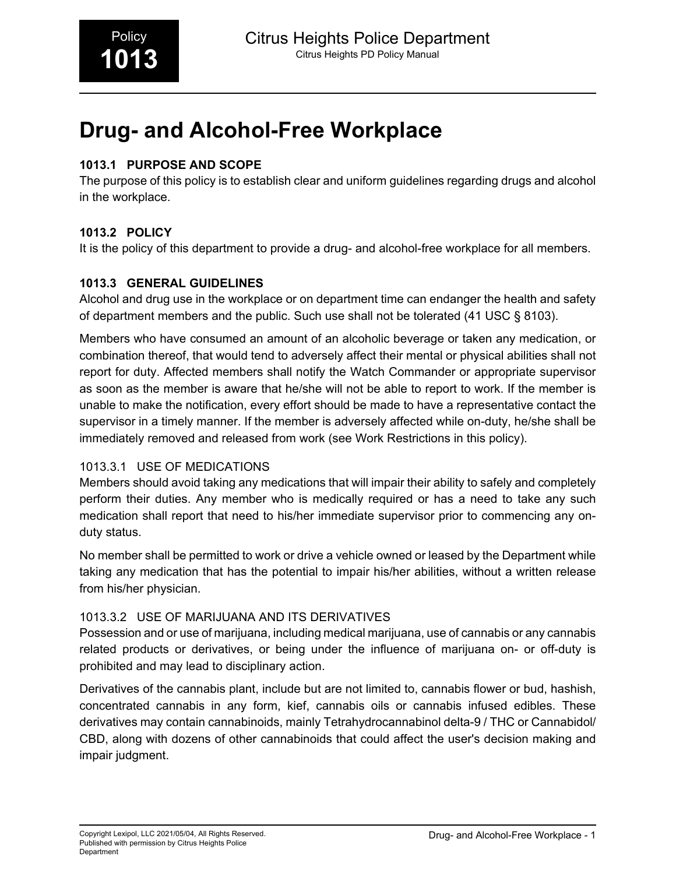# **Drug- and Alcohol-Free Workplace**

# **1013.1 PURPOSE AND SCOPE**

The purpose of this policy is to establish clear and uniform guidelines regarding drugs and alcohol in the workplace.

# **1013.2 POLICY**

It is the policy of this department to provide a drug- and alcohol-free workplace for all members.

# **1013.3 GENERAL GUIDELINES**

Alcohol and drug use in the workplace or on department time can endanger the health and safety of department members and the public. Such use shall not be tolerated (41 USC § 8103).

Members who have consumed an amount of an alcoholic beverage or taken any medication, or combination thereof, that would tend to adversely affect their mental or physical abilities shall not report for duty. Affected members shall notify the Watch Commander or appropriate supervisor as soon as the member is aware that he/she will not be able to report to work. If the member is unable to make the notification, every effort should be made to have a representative contact the supervisor in a timely manner. If the member is adversely affected while on-duty, he/she shall be immediately removed and released from work (see Work Restrictions in this policy).

# 1013.3.1 USE OF MEDICATIONS

Members should avoid taking any medications that will impair their ability to safely and completely perform their duties. Any member who is medically required or has a need to take any such medication shall report that need to his/her immediate supervisor prior to commencing any onduty status.

No member shall be permitted to work or drive a vehicle owned or leased by the Department while taking any medication that has the potential to impair his/her abilities, without a written release from his/her physician.

# 1013.3.2 USE OF MARIJUANA AND ITS DERIVATIVES

Possession and or use of marijuana, including medical marijuana, use of cannabis or any cannabis related products or derivatives, or being under the influence of marijuana on- or off-duty is prohibited and may lead to disciplinary action.

Derivatives of the cannabis plant, include but are not limited to, cannabis flower or bud, hashish, concentrated cannabis in any form, kief, cannabis oils or cannabis infused edibles. These derivatives may contain cannabinoids, mainly Tetrahydrocannabinol delta-9 / THC or Cannabidol/ CBD, along with dozens of other cannabinoids that could affect the user's decision making and impair judgment.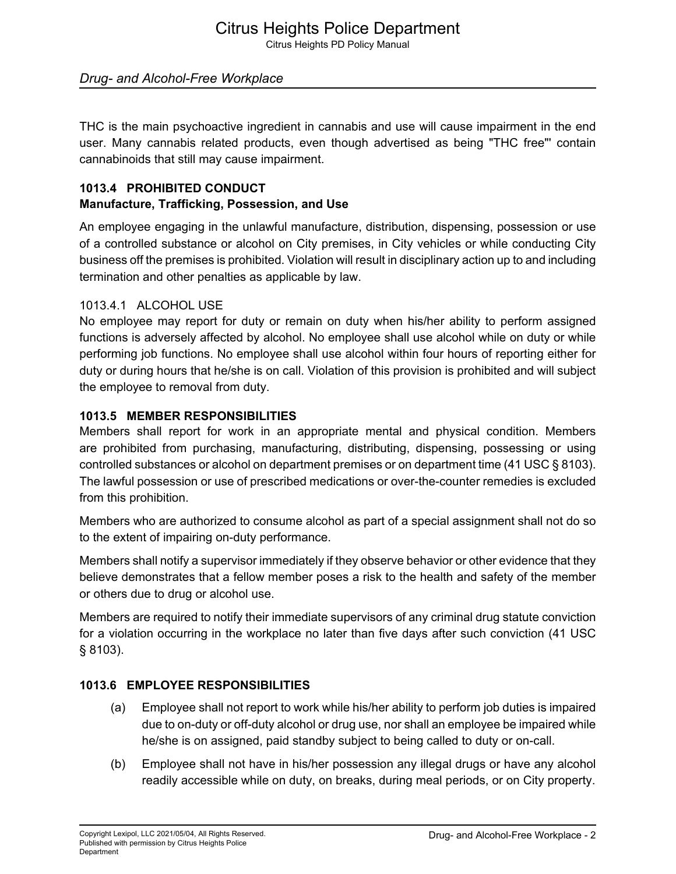# Citrus Heights Police Department

Citrus Heights PD Policy Manual

# *Drug- and Alcohol-Free Workplace*

THC is the main psychoactive ingredient in cannabis and use will cause impairment in the end user. Many cannabis related products, even though advertised as being "THC free"' contain cannabinoids that still may cause impairment.

# **1013.4 PROHIBITED CONDUCT Manufacture, Trafficking, Possession, and Use**

An employee engaging in the unlawful manufacture, distribution, dispensing, possession or use of a controlled substance or alcohol on City premises, in City vehicles or while conducting City business off the premises is prohibited. Violation will result in disciplinary action up to and including termination and other penalties as applicable by law.

#### 1013.4.1 ALCOHOL USE

No employee may report for duty or remain on duty when his/her ability to perform assigned functions is adversely affected by alcohol. No employee shall use alcohol while on duty or while performing job functions. No employee shall use alcohol within four hours of reporting either for duty or during hours that he/she is on call. Violation of this provision is prohibited and will subject the employee to removal from duty.

#### **1013.5 MEMBER RESPONSIBILITIES**

Members shall report for work in an appropriate mental and physical condition. Members are prohibited from purchasing, manufacturing, distributing, dispensing, possessing or using controlled substances or alcohol on department premises or on department time (41 USC § 8103). The lawful possession or use of prescribed medications or over-the-counter remedies is excluded from this prohibition.

Members who are authorized to consume alcohol as part of a special assignment shall not do so to the extent of impairing on-duty performance.

Members shall notify a supervisor immediately if they observe behavior or other evidence that they believe demonstrates that a fellow member poses a risk to the health and safety of the member or others due to drug or alcohol use.

Members are required to notify their immediate supervisors of any criminal drug statute conviction for a violation occurring in the workplace no later than five days after such conviction (41 USC § 8103).

# **1013.6 EMPLOYEE RESPONSIBILITIES**

- (a) Employee shall not report to work while his/her ability to perform job duties is impaired due to on-duty or off-duty alcohol or drug use, nor shall an employee be impaired while he/she is on assigned, paid standby subject to being called to duty or on-call.
- (b) Employee shall not have in his/her possession any illegal drugs or have any alcohol readily accessible while on duty, on breaks, during meal periods, or on City property.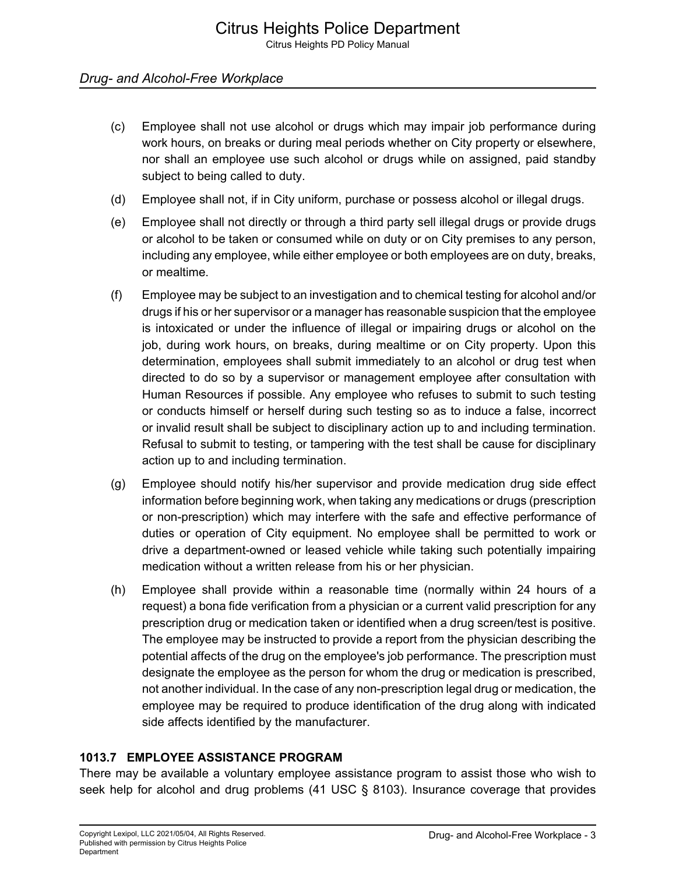# *Drug- and Alcohol-Free Workplace*

- (c) Employee shall not use alcohol or drugs which may impair job performance during work hours, on breaks or during meal periods whether on City property or elsewhere, nor shall an employee use such alcohol or drugs while on assigned, paid standby subject to being called to duty.
- (d) Employee shall not, if in City uniform, purchase or possess alcohol or illegal drugs.
- (e) Employee shall not directly or through a third party sell illegal drugs or provide drugs or alcohol to be taken or consumed while on duty or on City premises to any person, including any employee, while either employee or both employees are on duty, breaks, or mealtime.
- (f) Employee may be subject to an investigation and to chemical testing for alcohol and/or drugs if his or her supervisor or a manager has reasonable suspicion that the employee is intoxicated or under the influence of illegal or impairing drugs or alcohol on the job, during work hours, on breaks, during mealtime or on City property. Upon this determination, employees shall submit immediately to an alcohol or drug test when directed to do so by a supervisor or management employee after consultation with Human Resources if possible. Any employee who refuses to submit to such testing or conducts himself or herself during such testing so as to induce a false, incorrect or invalid result shall be subject to disciplinary action up to and including termination. Refusal to submit to testing, or tampering with the test shall be cause for disciplinary action up to and including termination.
- (g) Employee should notify his/her supervisor and provide medication drug side effect information before beginning work, when taking any medications or drugs (prescription or non-prescription) which may interfere with the safe and effective performance of duties or operation of City equipment. No employee shall be permitted to work or drive a department-owned or leased vehicle while taking such potentially impairing medication without a written release from his or her physician.
- (h) Employee shall provide within a reasonable time (normally within 24 hours of a request) a bona fide verification from a physician or a current valid prescription for any prescription drug or medication taken or identified when a drug screen/test is positive. The employee may be instructed to provide a report from the physician describing the potential affects of the drug on the employee's job performance. The prescription must designate the employee as the person for whom the drug or medication is prescribed, not another individual. In the case of any non-prescription legal drug or medication, the employee may be required to produce identification of the drug along with indicated side affects identified by the manufacturer.

# **1013.7 EMPLOYEE ASSISTANCE PROGRAM**

There may be available a voluntary employee assistance program to assist those who wish to seek help for alcohol and drug problems  $(41 \text{ USC} \& 8103)$ . Insurance coverage that provides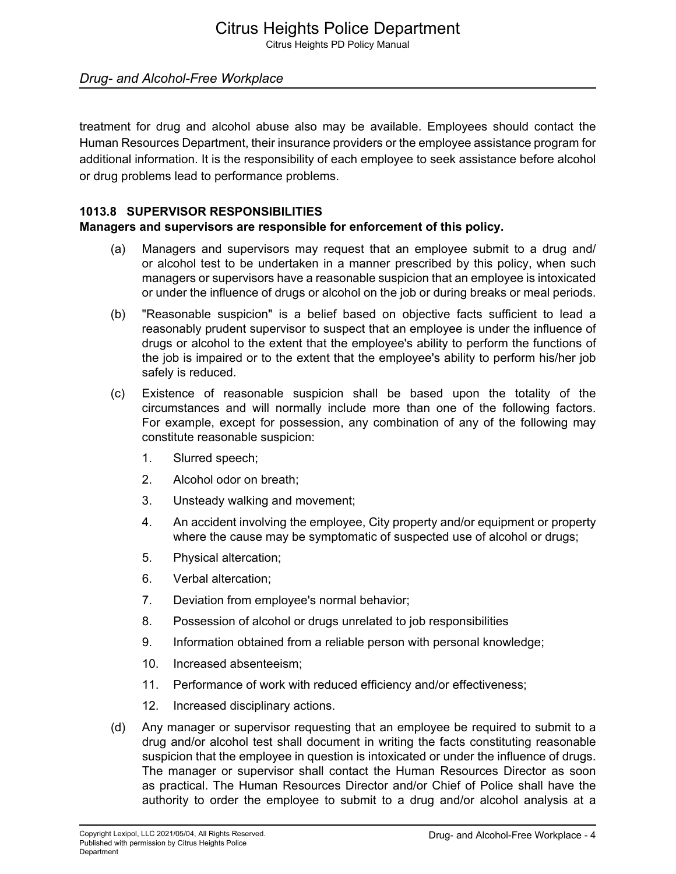# *Drug- and Alcohol-Free Workplace*

treatment for drug and alcohol abuse also may be available. Employees should contact the Human Resources Department, their insurance providers or the employee assistance program for additional information. It is the responsibility of each employee to seek assistance before alcohol or drug problems lead to performance problems.

#### **1013.8 SUPERVISOR RESPONSIBILITIES**

#### **Managers and supervisors are responsible for enforcement of this policy.**

- (a) Managers and supervisors may request that an employee submit to a drug and/ or alcohol test to be undertaken in a manner prescribed by this policy, when such managers or supervisors have a reasonable suspicion that an employee is intoxicated or under the influence of drugs or alcohol on the job or during breaks or meal periods.
- (b) "Reasonable suspicion" is a belief based on objective facts sufficient to lead a reasonably prudent supervisor to suspect that an employee is under the influence of drugs or alcohol to the extent that the employee's ability to perform the functions of the job is impaired or to the extent that the employee's ability to perform his/her job safely is reduced.
- (c) Existence of reasonable suspicion shall be based upon the totality of the circumstances and will normally include more than one of the following factors. For example, except for possession, any combination of any of the following may constitute reasonable suspicion:
	- 1. Slurred speech;
	- 2. Alcohol odor on breath;
	- 3. Unsteady walking and movement;
	- 4. An accident involving the employee, City property and/or equipment or property where the cause may be symptomatic of suspected use of alcohol or drugs;
	- 5. Physical altercation;
	- 6. Verbal altercation;
	- 7. Deviation from employee's normal behavior;
	- 8. Possession of alcohol or drugs unrelated to job responsibilities
	- 9. Information obtained from a reliable person with personal knowledge;
	- 10. Increased absenteeism;
	- 11. Performance of work with reduced efficiency and/or effectiveness;
	- 12. Increased disciplinary actions.
- (d) Any manager or supervisor requesting that an employee be required to submit to a drug and/or alcohol test shall document in writing the facts constituting reasonable suspicion that the employee in question is intoxicated or under the influence of drugs. The manager or supervisor shall contact the Human Resources Director as soon as practical. The Human Resources Director and/or Chief of Police shall have the authority to order the employee to submit to a drug and/or alcohol analysis at a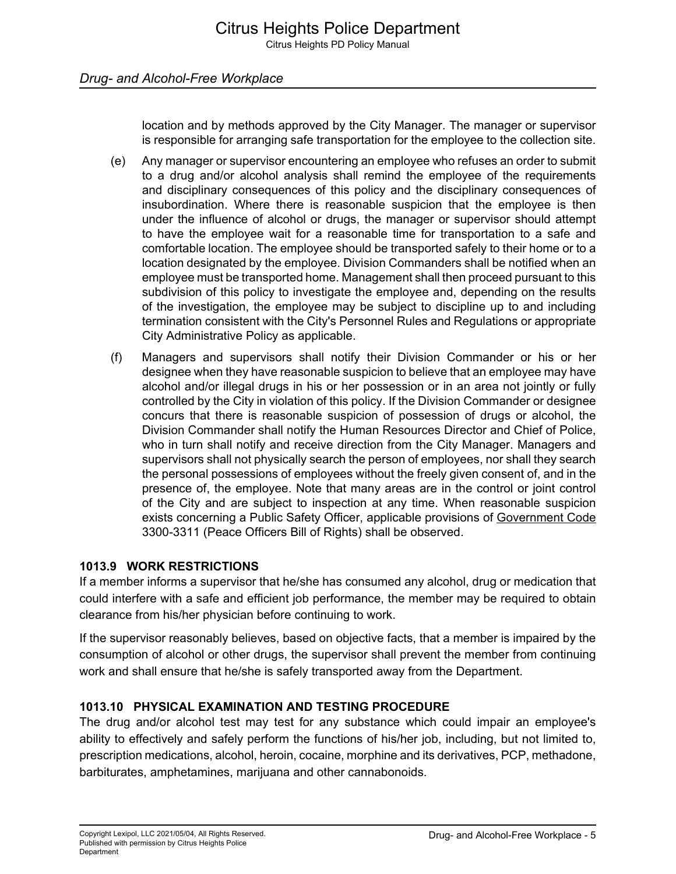location and by methods approved by the City Manager. The manager or supervisor is responsible for arranging safe transportation for the employee to the collection site.

- (e) Any manager or supervisor encountering an employee who refuses an order to submit to a drug and/or alcohol analysis shall remind the employee of the requirements and disciplinary consequences of this policy and the disciplinary consequences of insubordination. Where there is reasonable suspicion that the employee is then under the influence of alcohol or drugs, the manager or supervisor should attempt to have the employee wait for a reasonable time for transportation to a safe and comfortable location. The employee should be transported safely to their home or to a location designated by the employee. Division Commanders shall be notified when an employee must be transported home. Management shall then proceed pursuant to this subdivision of this policy to investigate the employee and, depending on the results of the investigation, the employee may be subject to discipline up to and including termination consistent with the City's Personnel Rules and Regulations or appropriate City Administrative Policy as applicable.
- (f) Managers and supervisors shall notify their Division Commander or his or her designee when they have reasonable suspicion to believe that an employee may have alcohol and/or illegal drugs in his or her possession or in an area not jointly or fully controlled by the City in violation of this policy. If the Division Commander or designee concurs that there is reasonable suspicion of possession of drugs or alcohol, the Division Commander shall notify the Human Resources Director and Chief of Police, who in turn shall notify and receive direction from the City Manager. Managers and supervisors shall not physically search the person of employees, nor shall they search the personal possessions of employees without the freely given consent of, and in the presence of, the employee. Note that many areas are in the control or joint control of the City and are subject to inspection at any time. When reasonable suspicion exists concerning a Public Safety Officer, applicable provisions of Government Code 3300-3311 (Peace Officers Bill of Rights) shall be observed.

# **1013.9 WORK RESTRICTIONS**

If a member informs a supervisor that he/she has consumed any alcohol, drug or medication that could interfere with a safe and efficient job performance, the member may be required to obtain clearance from his/her physician before continuing to work.

If the supervisor reasonably believes, based on objective facts, that a member is impaired by the consumption of alcohol or other drugs, the supervisor shall prevent the member from continuing work and shall ensure that he/she is safely transported away from the Department.

# **1013.10 PHYSICAL EXAMINATION AND TESTING PROCEDURE**

The drug and/or alcohol test may test for any substance which could impair an employee's ability to effectively and safely perform the functions of his/her job, including, but not limited to, prescription medications, alcohol, heroin, cocaine, morphine and its derivatives, PCP, methadone, barbiturates, amphetamines, marijuana and other cannabonoids.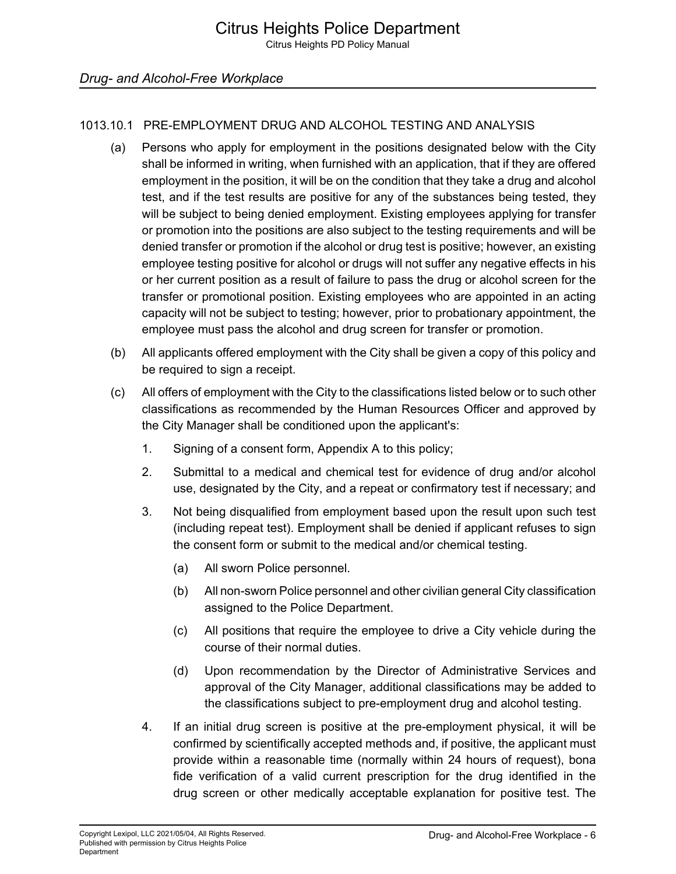# 1013.10.1 PRE-EMPLOYMENT DRUG AND ALCOHOL TESTING AND ANALYSIS

- (a) Persons who apply for employment in the positions designated below with the City shall be informed in writing, when furnished with an application, that if they are offered employment in the position, it will be on the condition that they take a drug and alcohol test, and if the test results are positive for any of the substances being tested, they will be subject to being denied employment. Existing employees applying for transfer or promotion into the positions are also subject to the testing requirements and will be denied transfer or promotion if the alcohol or drug test is positive; however, an existing employee testing positive for alcohol or drugs will not suffer any negative effects in his or her current position as a result of failure to pass the drug or alcohol screen for the transfer or promotional position. Existing employees who are appointed in an acting capacity will not be subject to testing; however, prior to probationary appointment, the employee must pass the alcohol and drug screen for transfer or promotion.
- (b) All applicants offered employment with the City shall be given a copy of this policy and be required to sign a receipt.
- (c) All offers of employment with the City to the classifications listed below or to such other classifications as recommended by the Human Resources Officer and approved by the City Manager shall be conditioned upon the applicant's:
	- 1. Signing of a consent form, Appendix A to this policy;
	- 2. Submittal to a medical and chemical test for evidence of drug and/or alcohol use, designated by the City, and a repeat or confirmatory test if necessary; and
	- 3. Not being disqualified from employment based upon the result upon such test (including repeat test). Employment shall be denied if applicant refuses to sign the consent form or submit to the medical and/or chemical testing.
		- (a) All sworn Police personnel.
		- (b) All non-sworn Police personnel and other civilian general City classification assigned to the Police Department.
		- (c) All positions that require the employee to drive a City vehicle during the course of their normal duties.
		- (d) Upon recommendation by the Director of Administrative Services and approval of the City Manager, additional classifications may be added to the classifications subject to pre-employment drug and alcohol testing.
	- 4. If an initial drug screen is positive at the pre-employment physical, it will be confirmed by scientifically accepted methods and, if positive, the applicant must provide within a reasonable time (normally within 24 hours of request), bona fide verification of a valid current prescription for the drug identified in the drug screen or other medically acceptable explanation for positive test. The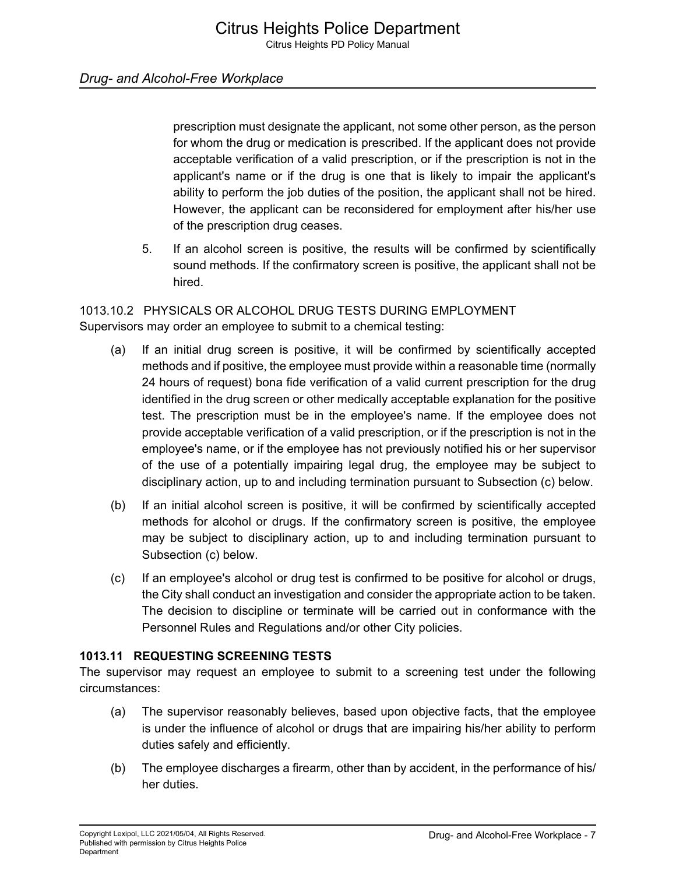prescription must designate the applicant, not some other person, as the person for whom the drug or medication is prescribed. If the applicant does not provide acceptable verification of a valid prescription, or if the prescription is not in the applicant's name or if the drug is one that is likely to impair the applicant's ability to perform the job duties of the position, the applicant shall not be hired. However, the applicant can be reconsidered for employment after his/her use of the prescription drug ceases.

5. If an alcohol screen is positive, the results will be confirmed by scientifically sound methods. If the confirmatory screen is positive, the applicant shall not be hired.

#### 1013.10.2 PHYSICALS OR ALCOHOL DRUG TESTS DURING EMPLOYMENT Supervisors may order an employee to submit to a chemical testing:

- (a) If an initial drug screen is positive, it will be confirmed by scientifically accepted methods and if positive, the employee must provide within a reasonable time (normally 24 hours of request) bona fide verification of a valid current prescription for the drug identified in the drug screen or other medically acceptable explanation for the positive test. The prescription must be in the employee's name. If the employee does not provide acceptable verification of a valid prescription, or if the prescription is not in the employee's name, or if the employee has not previously notified his or her supervisor of the use of a potentially impairing legal drug, the employee may be subject to disciplinary action, up to and including termination pursuant to Subsection (c) below.
- (b) If an initial alcohol screen is positive, it will be confirmed by scientifically accepted methods for alcohol or drugs. If the confirmatory screen is positive, the employee may be subject to disciplinary action, up to and including termination pursuant to Subsection (c) below.
- (c) If an employee's alcohol or drug test is confirmed to be positive for alcohol or drugs, the City shall conduct an investigation and consider the appropriate action to be taken. The decision to discipline or terminate will be carried out in conformance with the Personnel Rules and Regulations and/or other City policies.

# **1013.11 REQUESTING SCREENING TESTS**

The supervisor may request an employee to submit to a screening test under the following circumstances:

- (a) The supervisor reasonably believes, based upon objective facts, that the employee is under the influence of alcohol or drugs that are impairing his/her ability to perform duties safely and efficiently.
- (b) The employee discharges a firearm, other than by accident, in the performance of his/ her duties.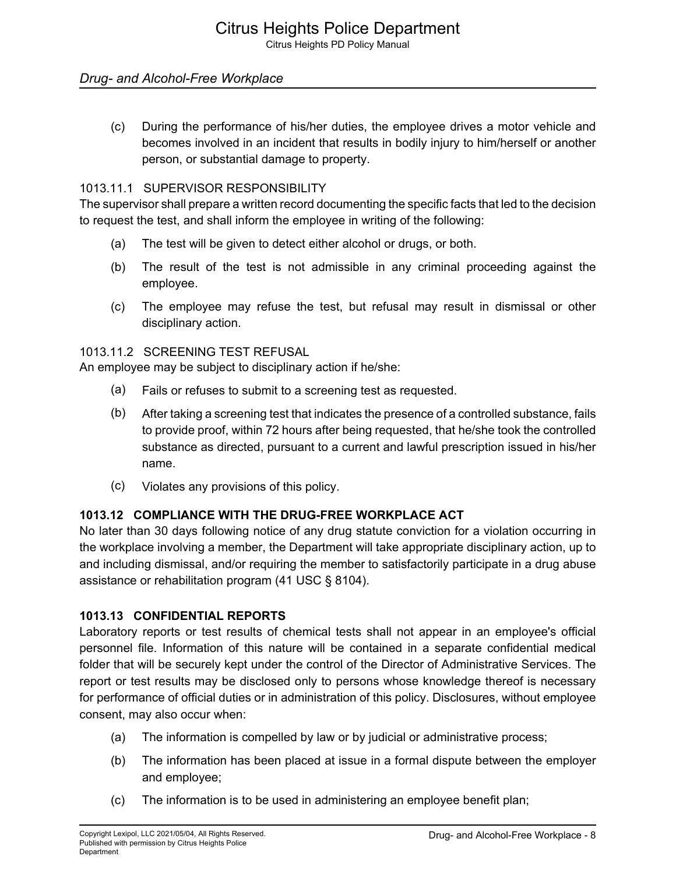### *Drug- and Alcohol-Free Workplace*

(c) During the performance of his/her duties, the employee drives a motor vehicle and becomes involved in an incident that results in bodily injury to him/herself or another person, or substantial damage to property.

#### 1013.11.1 SUPERVISOR RESPONSIBILITY

The supervisor shall prepare a written record documenting the specific facts that led to the decision to request the test, and shall inform the employee in writing of the following:

- (a) The test will be given to detect either alcohol or drugs, or both.
- (b) The result of the test is not admissible in any criminal proceeding against the employee.
- (c) The employee may refuse the test, but refusal may result in dismissal or other disciplinary action.

#### 1013.11.2 SCREENING TEST REFUSAL

An employee may be subject to disciplinary action if he/she:

- (a) Fails or refuses to submit to a screening test as requested.
- (b) After taking a screening test that indicates the presence of a controlled substance, fails to provide proof, within 72 hours after being requested, that he/she took the controlled substance as directed, pursuant to a current and lawful prescription issued in his/her name.
- (c) Violates any provisions of this policy.

#### **1013.12 COMPLIANCE WITH THE DRUG-FREE WORKPLACE ACT**

No later than 30 days following notice of any drug statute conviction for a violation occurring in the workplace involving a member, the Department will take appropriate disciplinary action, up to and including dismissal, and/or requiring the member to satisfactorily participate in a drug abuse assistance or rehabilitation program (41 USC § 8104).

#### **1013.13 CONFIDENTIAL REPORTS**

Laboratory reports or test results of chemical tests shall not appear in an employee's official personnel file. Information of this nature will be contained in a separate confidential medical folder that will be securely kept under the control of the Director of Administrative Services. The report or test results may be disclosed only to persons whose knowledge thereof is necessary for performance of official duties or in administration of this policy. Disclosures, without employee consent, may also occur when:

- (a) The information is compelled by law or by judicial or administrative process;
- (b) The information has been placed at issue in a formal dispute between the employer and employee;
- (c) The information is to be used in administering an employee benefit plan;